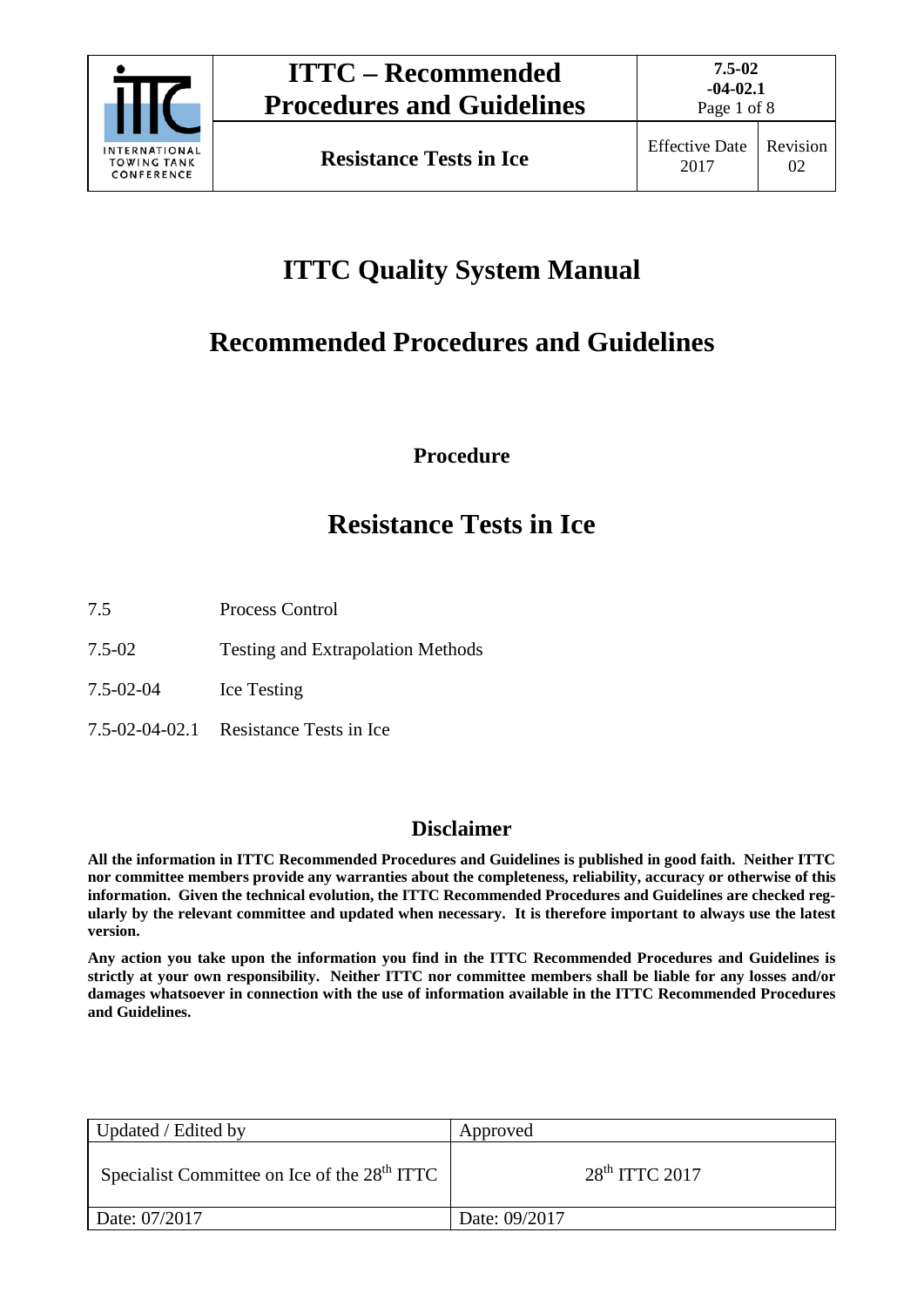

Page 1 of 8

## **ITTC Quality System Manual**

### **Recommended Procedures and Guidelines**

**Procedure**

### **Resistance Tests in Ice**

- 7.5 Process Control
- 7.5-02 Testing and Extrapolation Methods
- 7.5-02-04 Ice Testing
- 7.5-02-04-02.1 Resistance Tests in Ice

### **Disclaimer**

**All the information in ITTC Recommended Procedures and Guidelines is published in good faith. Neither ITTC nor committee members provide any warranties about the completeness, reliability, accuracy or otherwise of this information. Given the technical evolution, the ITTC Recommended Procedures and Guidelines are checked regularly by the relevant committee and updated when necessary. It is therefore important to always use the latest version.**

**Any action you take upon the information you find in the ITTC Recommended Procedures and Guidelines is strictly at your own responsibility. Neither ITTC nor committee members shall be liable for any losses and/or damages whatsoever in connection with the use of information available in the ITTC Recommended Procedures and Guidelines.**

| Updated / Edited by                                      | Approved         |
|----------------------------------------------------------|------------------|
| Specialist Committee on Ice of the 28 <sup>th</sup> ITTC | $28th$ ITTC 2017 |
| Date: 07/2017                                            | Date: 09/2017    |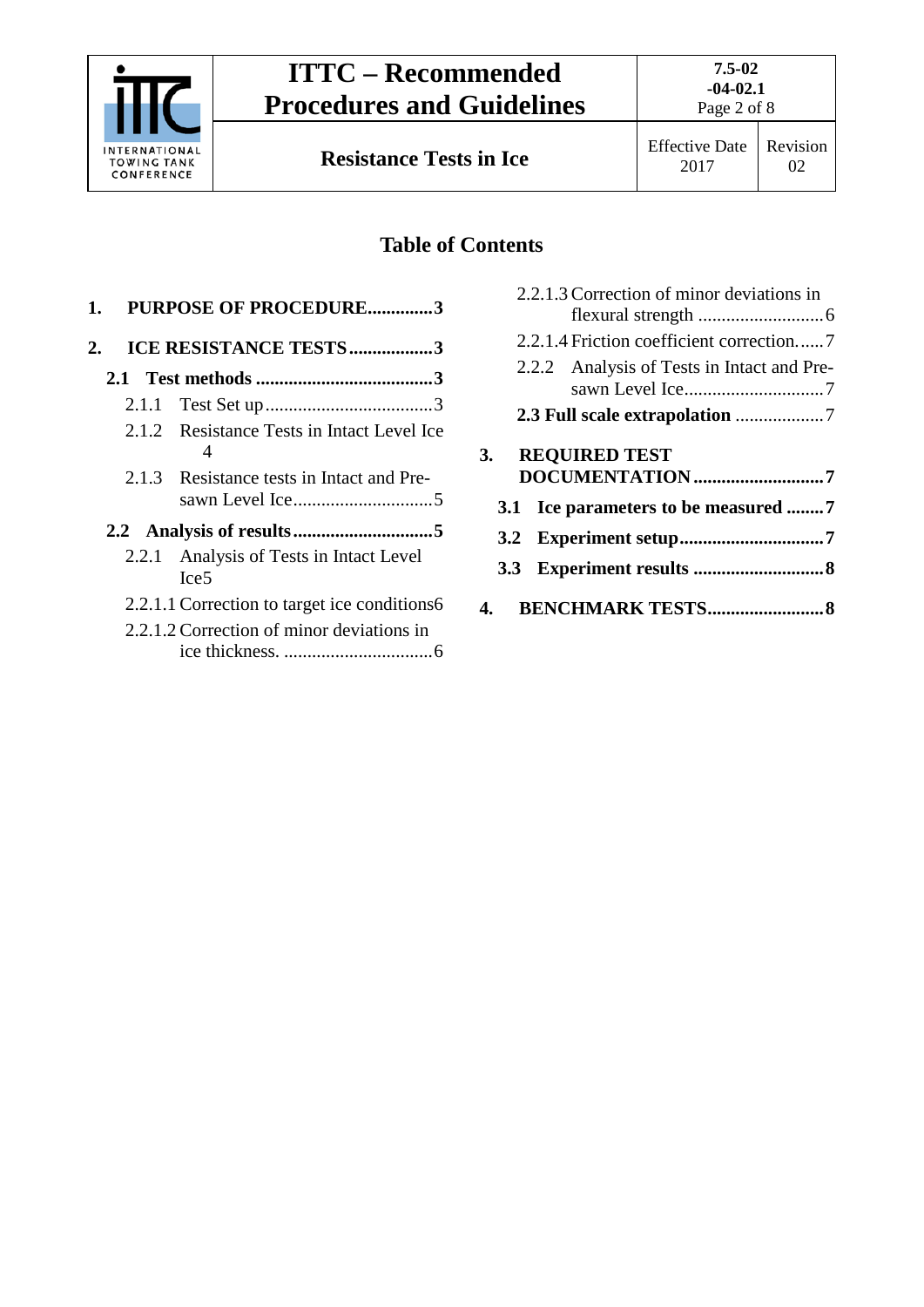

### **ITTC – Recommended Procedures and Guidelines**

Page 2 of 8

**Resistance Tests in Ice** Effective Date

### **Table of Contents**

| <b>PURPOSE OF PROCEDURE3</b><br>1.                          |    |
|-------------------------------------------------------------|----|
| <b>ICE RESISTANCE TESTS3</b>                                | 2. |
|                                                             |    |
|                                                             |    |
| 2.1.2 Resistance Tests in Intact Level Ice<br>4             |    |
| 2.1.3 Resistance tests in Intact and Pre-                   |    |
|                                                             |    |
| 2.2.1 Analysis of Tests in Intact Level<br>Ice <sub>5</sub> |    |
| 2.2.1.1 Correction to target ice conditions 6               |    |
| 2.2.1.2 Correction of minor deviations in                   |    |

|    | 2.2.1.3 Correction of minor deviations in  |  |
|----|--------------------------------------------|--|
|    |                                            |  |
|    | 2.2.1.4 Friction coefficient correction7   |  |
|    | 2.2.2 Analysis of Tests in Intact and Pre- |  |
|    |                                            |  |
|    |                                            |  |
|    |                                            |  |
| 3. | <b>REQUIRED TEST</b>                       |  |
|    | DOCUMENTATION7                             |  |
|    |                                            |  |
|    |                                            |  |
|    |                                            |  |
| 4. |                                            |  |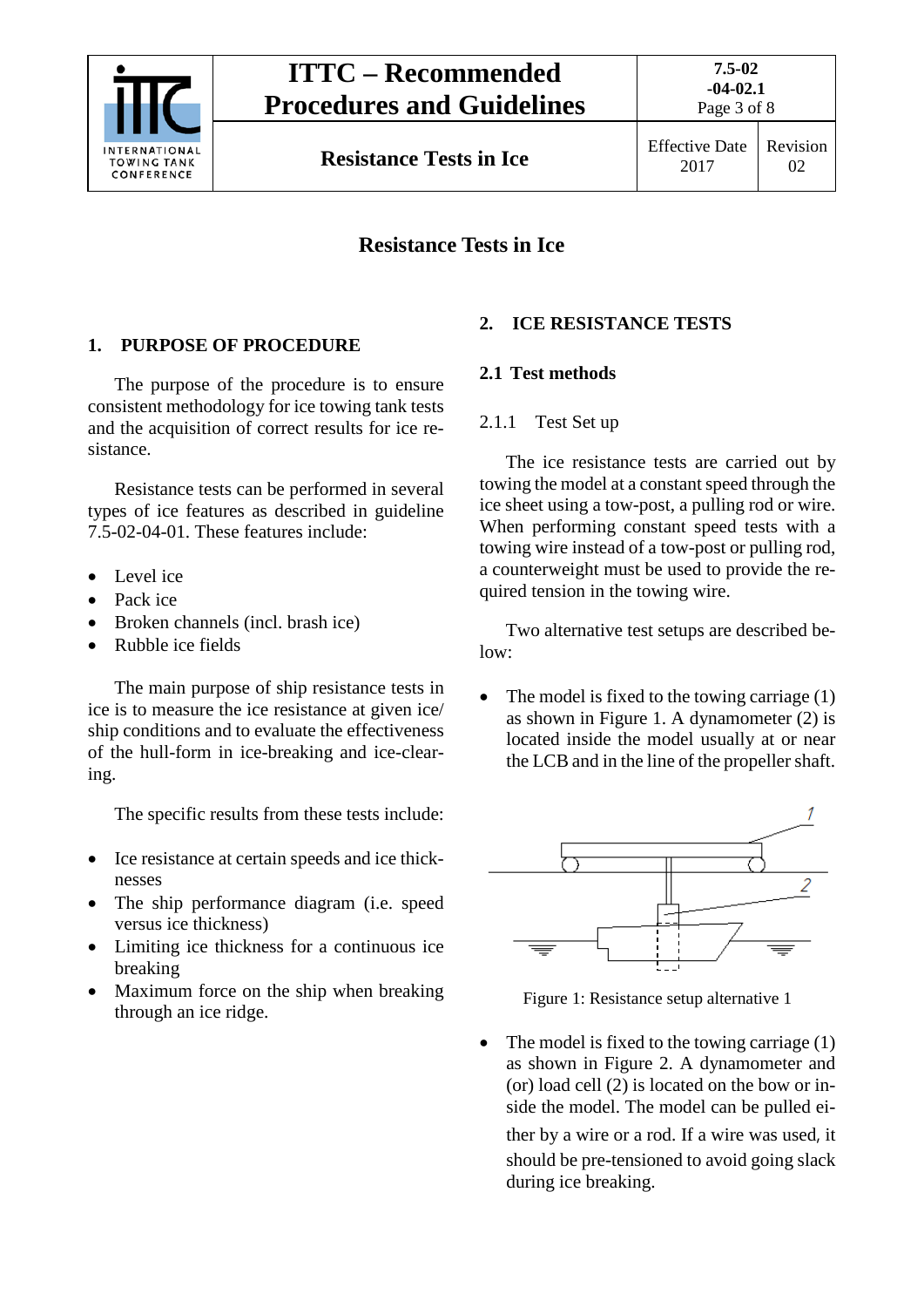

**7.5-02**

**Resistance Tests in Ice** Effective Date

### **Resistance Tests in Ice**

### <span id="page-2-0"></span>**1. PURPOSE OF PROCEDURE**

The purpose of the procedure is to ensure consistent methodology for ice towing tank tests and the acquisition of correct results for ice resistance.

Resistance tests can be performed in several types of ice features as described in guideline 7.5-02-04-01. These features include:

- Level ice
- Pack ice
- Broken channels (incl. brash ice)
- Rubble ice fields

The main purpose of ship resistance tests in ice is to measure the ice resistance at given ice/ ship conditions and to evaluate the effectiveness of the hull-form in ice-breaking and ice-clearing.

The specific results from these tests include:

- Ice resistance at certain speeds and ice thicknesses
- The ship performance diagram (i.e. speed versus ice thickness)
- Limiting ice thickness for a continuous ice breaking
- Maximum force on the ship when breaking through an ice ridge.

### <span id="page-2-2"></span><span id="page-2-1"></span>**2. ICE RESISTANCE TESTS**

#### <span id="page-2-3"></span>**2.1 Test methods**

### 2.1.1 Test Set up

The ice resistance tests are carried out by towing the model at a constant speed through the ice sheet using a tow-post, a pulling rod or wire. When performing constant speed tests with a towing wire instead of a tow-post or pulling rod, a counterweight must be used to provide the required tension in the towing wire.

Two alternative test setups are described below:

• The model is fixed to the towing carriage (1) as shown in [Figure 1.](#page-2-4) A dynamometer (2) is located inside the model usually at or near the LCB and in the line of the propeller shaft.



<span id="page-2-4"></span>Figure 1: Resistance setup alternative 1

• The model is fixed to the towing carriage (1) as shown in [Figure 2.](#page-3-1) A dynamometer and (or) load cell (2) is located on the bow or inside the model. The model can be pulled either by a wire or a rod. If a wire was used, it should be pre-tensioned to avoid going slack during ice breaking.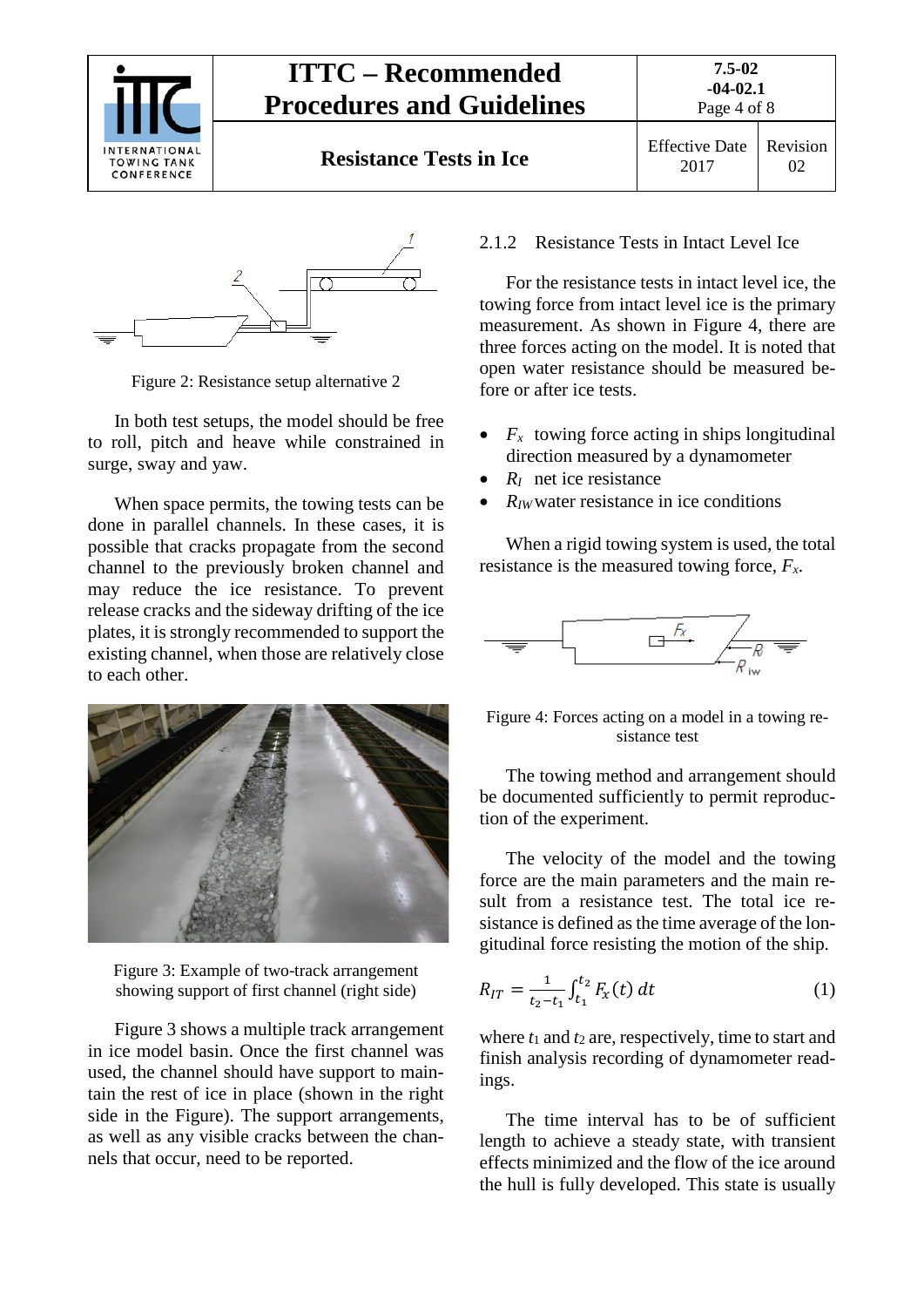



<span id="page-3-1"></span>Figure 2: Resistance setup alternative 2

In both test setups, the model should be free to roll, pitch and heave while constrained in surge, sway and yaw.

When space permits, the towing tests can be done in parallel channels. In these cases, it is possible that cracks propagate from the second channel to the previously broken channel and may reduce the ice resistance. To prevent release cracks and the sideway drifting of the ice plates, it is strongly recommended to support the existing channel, when those are relatively close to each other.



Figure 3: Example of two-track arrangement showing support of first channel (right side)

<span id="page-3-2"></span>[Figure 3](#page-3-2) shows a multiple track arrangement in ice model basin. Once the first channel was used, the channel should have support to maintain the rest of ice in place (shown in the right side in the Figure). The support arrangements, as well as any visible cracks between the channels that occur, need to be reported.

### <span id="page-3-0"></span>2.1.2 Resistance Tests in Intact Level Ice

For the resistance tests in intact level ice, the towing force from intact level ice is the primary measurement. As shown in [Figure 4,](#page-3-3) there are three forces acting on the model. It is noted that open water resistance should be measured before or after ice tests.

- $F_x$  towing force acting in ships longitudinal direction measured by a dynamometer
- *R<sub>I</sub>* net ice resistance
- *R<sub>IW</sub>* water resistance in ice conditions

When a rigid towing system is used, the total resistance is the measured towing force, *Fx*.



<span id="page-3-3"></span>Figure 4: Forces acting on a model in a towing resistance test

The towing method and arrangement should be documented sufficiently to permit reproduction of the experiment.

The velocity of the model and the towing force are the main parameters and the main result from a resistance test. The total ice resistance is defined as the time average of the longitudinal force resisting the motion of the ship.

$$
R_{IT} = \frac{1}{t_2 - t_1} \int_{t_1}^{t_2} F_x(t) \, dt \tag{1}
$$

where  $t_1$  and  $t_2$  are, respectively, time to start and finish analysis recording of dynamometer readings.

The time interval has to be of sufficient length to achieve a steady state, with transient effects minimized and the flow of the ice around the hull is fully developed. This state is usually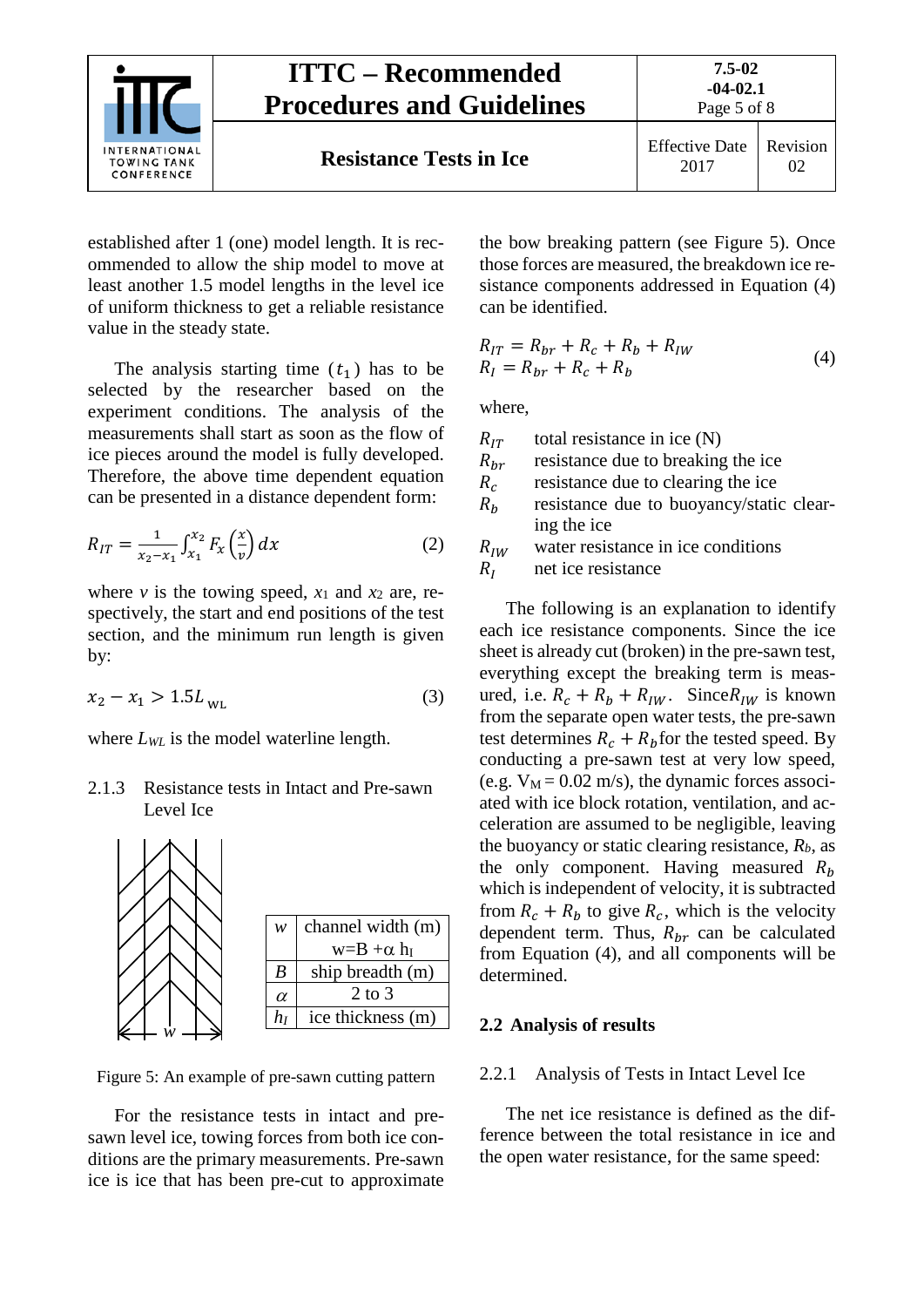

established after 1 (one) model length. It is recommended to allow the ship model to move at least another 1.5 model lengths in the level ice of uniform thickness to get a reliable resistance value in the steady state.

The analysis starting time  $(t_1)$  has to be selected by the researcher based on the experiment conditions. The analysis of the measurements shall start as soon as the flow of ice pieces around the model is fully developed. Therefore, the above time dependent equation can be presented in a distance dependent form:

$$
R_{IT} = \frac{1}{x_2 - x_1} \int_{x_1}^{x_2} F_x \left(\frac{x}{v}\right) dx \tag{2}
$$

where  $\nu$  is the towing speed,  $x_1$  and  $x_2$  are, respectively, the start and end positions of the test section, and the minimum run length is given by:

$$
x_2 - x_1 > 1.5L_{\text{WL}} \tag{3}
$$

<span id="page-4-0"></span>where  $L_{WL}$  is the model waterline length.

2.1.3 Resistance tests in Intact and Pre-sawn Level Ice



<span id="page-4-3"></span>Figure 5: An example of pre-sawn cutting pattern

For the resistance tests in intact and presawn level ice, towing forces from both ice conditions are the primary measurements. Pre-sawn ice is ice that has been pre-cut to approximate

the bow breaking pattern (see [Figure 5\)](#page-4-3). Once those forces are measured, the breakdown ice resistance components addressed in Equation (4) can be identified.

$$
R_{IT} = R_{br} + R_c + R_b + R_{IW}
$$
  
\n
$$
R_I = R_{br} + R_c + R_b
$$
\n(4)

where,

 $R_{IT}$  total resistance in ice (N)<br> $R_{br}$  resistance due to breaking  $R_{br}$  resistance due to breaking the ice<br> $R_c$  resistance due to clearing the ice  $R_c$  resistance due to clearing the ice<br> $R_b$  resistance due to buoyancy/stati resistance due to buoyancy/static clearing the ice  $R_{IW}$  water resistance in ice conditions<br> $R_{I}$  net ice resistance

net ice resistance

The following is an explanation to identify each ice resistance components. Since the ice sheet is already cut (broken) in the pre-sawn test, everything except the breaking term is measured, i.e.  $R_c + R_b + R_{IW}$ . Since  $R_{IW}$  is known from the separate open water tests, the pre-sawn test determines  $R_c + R_h$  for the tested speed. By conducting a pre-sawn test at very low speed, (e.g.  $V_M = 0.02$  m/s), the dynamic forces associated with ice block rotation, ventilation, and acceleration are assumed to be negligible, leaving the buoyancy or static clearing resistance,  $R_b$ , as the only component. Having measured  $R_b$ which is independent of velocity, it is subtracted from  $R_c + R_b$  to give  $R_c$ , which is the velocity dependent term. Thus,  $R_{br}$  can be calculated from Equation (4), and all components will be determined.

#### <span id="page-4-2"></span><span id="page-4-1"></span>**2.2 Analysis of results**

#### 2.2.1 Analysis of Tests in Intact Level Ice

The net ice resistance is defined as the difference between the total resistance in ice and the open water resistance, for the same speed: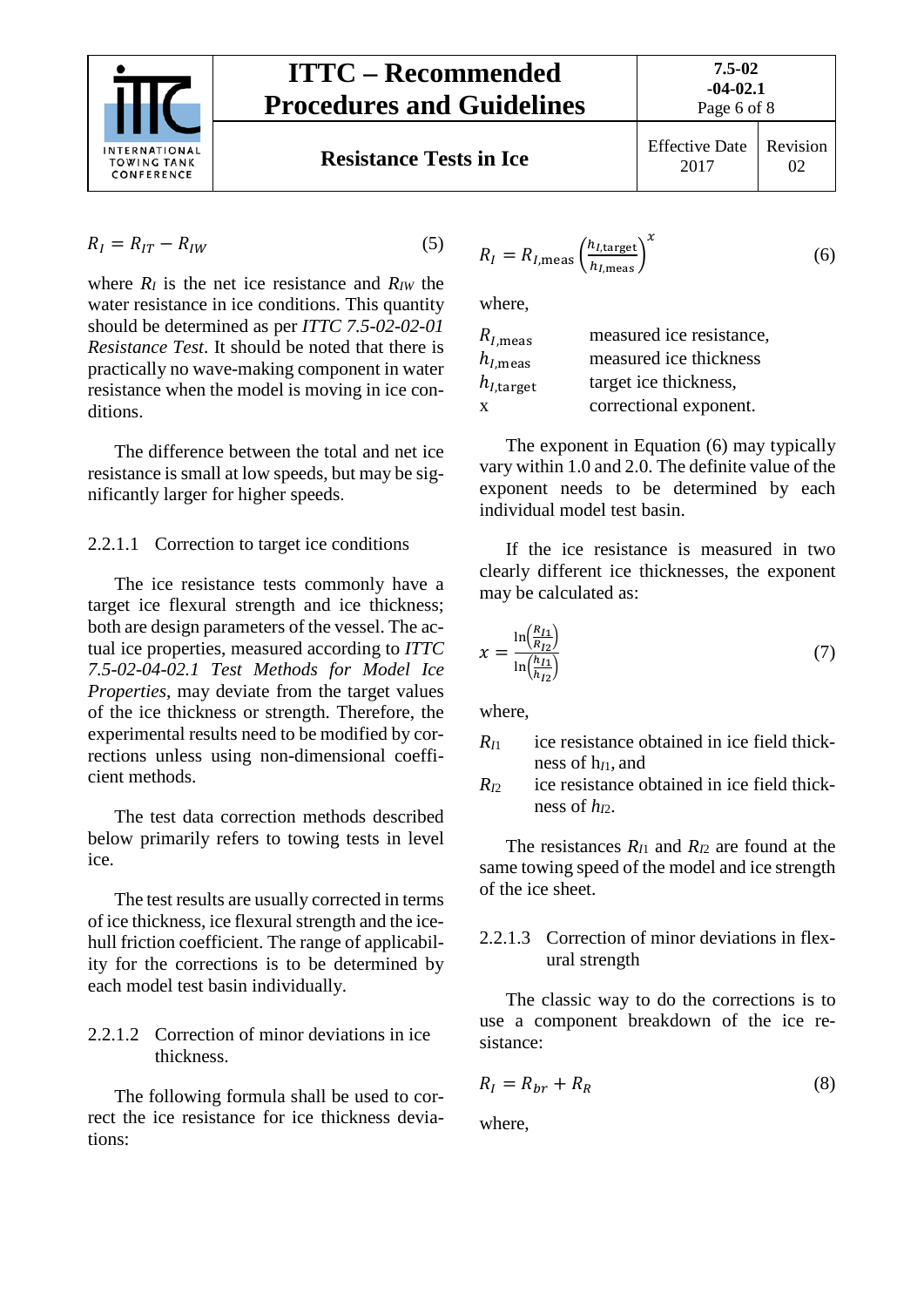

## **ITTC – Recommended Procedures and Guidelines Resistance Tests in Ice** Effective Date

$$
R_I = R_{IT} - R_{IW} \tag{5}
$$

where  $R_I$  is the net ice resistance and  $R_{IW}$  the water resistance in ice conditions. This quantity should be determined as per *ITTC 7.5-02-02-01 Resistance Test*. It should be noted that there is practically no wave-making component in water resistance when the model is moving in ice conditions.

The difference between the total and net ice resistance is small at low speeds, but may be significantly larger for higher speeds.

### <span id="page-5-0"></span>2.2.1.1 Correction to target ice conditions

The ice resistance tests commonly have a target ice flexural strength and ice thickness; both are design parameters of the vessel. The actual ice properties, measured according to *ITTC 7.5-02-04-02.1 Test Methods for Model Ice Properties*, may deviate from the target values of the ice thickness or strength. Therefore, the experimental results need to be modified by corrections unless using non-dimensional coefficient methods.

The test data correction methods described below primarily refers to towing tests in level ice.

The test results are usually corrected in terms of ice thickness, ice flexural strength and the icehull friction coefficient. The range of applicability for the corrections is to be determined by each model test basin individually.

### <span id="page-5-1"></span>2.2.1.2 Correction of minor deviations in ice thickness.

The following formula shall be used to correct the ice resistance for ice thickness deviations:

$$
R_I = R_{I, \text{meas}} \left( \frac{h_{I, \text{target}}}{h_{I, \text{meas}}} \right)^x \tag{6}
$$

where,

| $R_{I, \text{meas}}$  | measured ice resistance, |
|-----------------------|--------------------------|
| $h_{I,meas}$          | measured ice thickness   |
| $h_{l,\text{target}}$ | target ice thickness,    |
| X                     | correctional exponent.   |

The exponent in Equation (6) may typically vary within 1.0 and 2.0. The definite value of the exponent needs to be determined by each individual model test basin.

If the ice resistance is measured in two clearly different ice thicknesses, the exponent may be calculated as:

$$
x = \frac{\ln(\frac{R_{I1}}{R_{I2}})}{\ln(\frac{h_{I1}}{h_{I2}})}
$$
(7)

where,

- *RI*<sup>1</sup> ice resistance obtained in ice field thickness of h<sub> $11$ </sub> and
- *R<sub>p</sub>* ice resistance obtained in ice field thickness of  $h_{12}$ .

The resistances *RI*<sup>1</sup> and *RI*<sup>2</sup> are found at the same towing speed of the model and ice strength of the ice sheet.

### <span id="page-5-2"></span>2.2.1.3 Correction of minor deviations in flexural strength

The classic way to do the corrections is to use a component breakdown of the ice resistance:

$$
R_I = R_{br} + R_R \tag{8}
$$

where,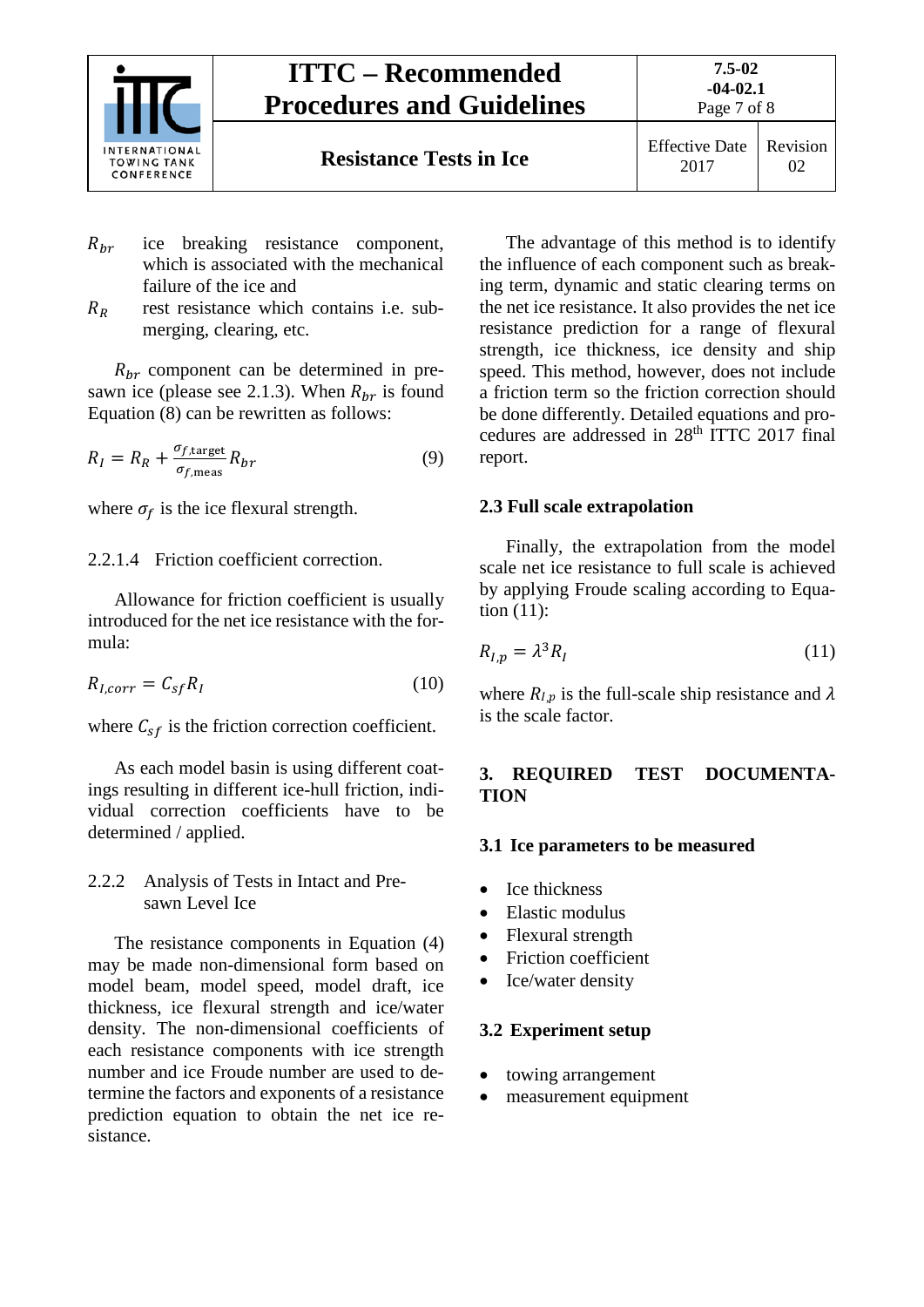

# **ITTC – Recommended Procedures and Guidelines**

**Resistance Tests in Ice** Effective Date 2017 Revision 02

- $R_{br}$  ice breaking resistance component, which is associated with the mechanical failure of the ice and
- $R_R$  rest resistance which contains i.e. submerging, clearing, etc.

 $R_{hr}$  component can be determined in presawn ice (please see 2.1.3). When  $R_{br}$  is found Equation (8) can be rewritten as follows:

$$
R_I = R_R + \frac{\sigma_{f,\text{target}}}{\sigma_{f,\text{meas}}} R_{br} \tag{9}
$$

<span id="page-6-0"></span>where  $\sigma_f$  is the ice flexural strength.

### 2.2.1.4 Friction coefficient correction.

Allowance for friction coefficient is usually introduced for the net ice resistance with the formula:

$$
R_{I,corr} = C_{sf} R_I \tag{10}
$$

where  $C_{sf}$  is the friction correction coefficient.

As each model basin is using different coatings resulting in different ice-hull friction, individual correction coefficients have to be determined / applied.

### <span id="page-6-1"></span>2.2.2 Analysis of Tests in Intact and Presawn Level Ice

The resistance components in Equation (4) may be made non-dimensional form based on model beam, model speed, model draft, ice thickness, ice flexural strength and ice/water density. The non-dimensional coefficients of each resistance components with ice strength number and ice Froude number are used to determine the factors and exponents of a resistance prediction equation to obtain the net ice resistance.

The advantage of this method is to identify the influence of each component such as breaking term, dynamic and static clearing terms on the net ice resistance. It also provides the net ice resistance prediction for a range of flexural strength, ice thickness, ice density and ship speed. This method, however, does not include a friction term so the friction correction should be done differently. Detailed equations and procedures are addressed in 28th ITTC 2017 final report.

### <span id="page-6-2"></span>**2.3 Full scale extrapolation**

Finally, the extrapolation from the model scale net ice resistance to full scale is achieved by applying Froude scaling according to Equation (11):

$$
R_{I,p} = \lambda^3 R_I \tag{11}
$$

where  $R_{l,p}$  is the full-scale ship resistance and  $\lambda$ is the scale factor.

### <span id="page-6-3"></span>**3. REQUIRED TEST DOCUMENTA-TION**

### <span id="page-6-4"></span>**3.1 Ice parameters to be measured**

- Ice thickness
- Elastic modulus
- Flexural strength
- Friction coefficient
- Ice/water density

### <span id="page-6-5"></span>**3.2 Experiment setup**

- towing arrangement
- measurement equipment